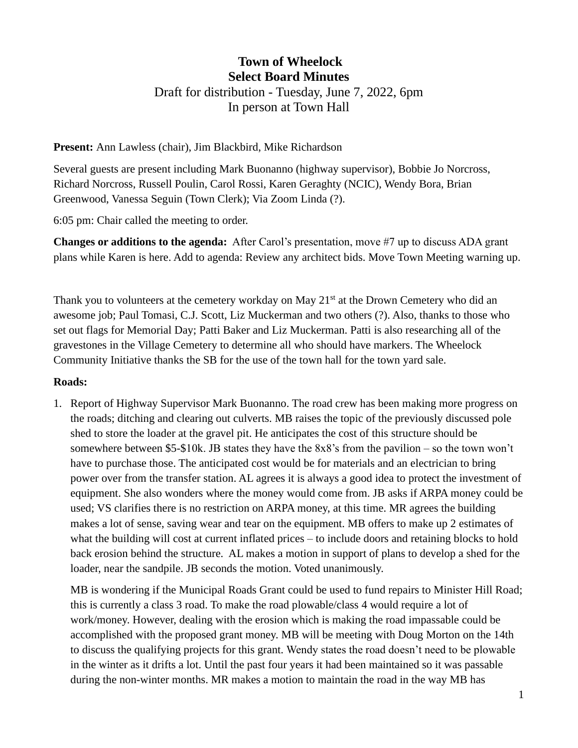# **Town of Wheelock Select Board Minutes** Draft for distribution - Tuesday, June 7, 2022, 6pm In person at Town Hall

#### **Present:** Ann Lawless (chair), Jim Blackbird, Mike Richardson

Several guests are present including Mark Buonanno (highway supervisor), Bobbie Jo Norcross, Richard Norcross, Russell Poulin, Carol Rossi, Karen Geraghty (NCIC), Wendy Bora, Brian Greenwood, Vanessa Seguin (Town Clerk); Via Zoom Linda (?).

6:05 pm: Chair called the meeting to order.

**Changes or additions to the agenda:** After Carol's presentation, move #7 up to discuss ADA grant plans while Karen is here. Add to agenda: Review any architect bids. Move Town Meeting warning up.

Thank you to volunteers at the cemetery workday on May  $21<sup>st</sup>$  at the Drown Cemetery who did an awesome job; Paul Tomasi, C.J. Scott, Liz Muckerman and two others (?). Also, thanks to those who set out flags for Memorial Day; Patti Baker and Liz Muckerman. Patti is also researching all of the gravestones in the Village Cemetery to determine all who should have markers. The Wheelock Community Initiative thanks the SB for the use of the town hall for the town yard sale.

### **Roads:**

1. Report of Highway Supervisor Mark Buonanno. The road crew has been making more progress on the roads; ditching and clearing out culverts. MB raises the topic of the previously discussed pole shed to store the loader at the gravel pit. He anticipates the cost of this structure should be somewhere between \$5-\$10k. JB states they have the 8x8's from the pavilion – so the town won't have to purchase those. The anticipated cost would be for materials and an electrician to bring power over from the transfer station. AL agrees it is always a good idea to protect the investment of equipment. She also wonders where the money would come from. JB asks if ARPA money could be used; VS clarifies there is no restriction on ARPA money, at this time. MR agrees the building makes a lot of sense, saving wear and tear on the equipment. MB offers to make up 2 estimates of what the building will cost at current inflated prices – to include doors and retaining blocks to hold back erosion behind the structure. AL makes a motion in support of plans to develop a shed for the loader, near the sandpile. JB seconds the motion. Voted unanimously.

MB is wondering if the Municipal Roads Grant could be used to fund repairs to Minister Hill Road; this is currently a class 3 road. To make the road plowable/class 4 would require a lot of work/money. However, dealing with the erosion which is making the road impassable could be accomplished with the proposed grant money. MB will be meeting with Doug Morton on the 14th to discuss the qualifying projects for this grant. Wendy states the road doesn't need to be plowable in the winter as it drifts a lot. Until the past four years it had been maintained so it was passable during the non-winter months. MR makes a motion to maintain the road in the way MB has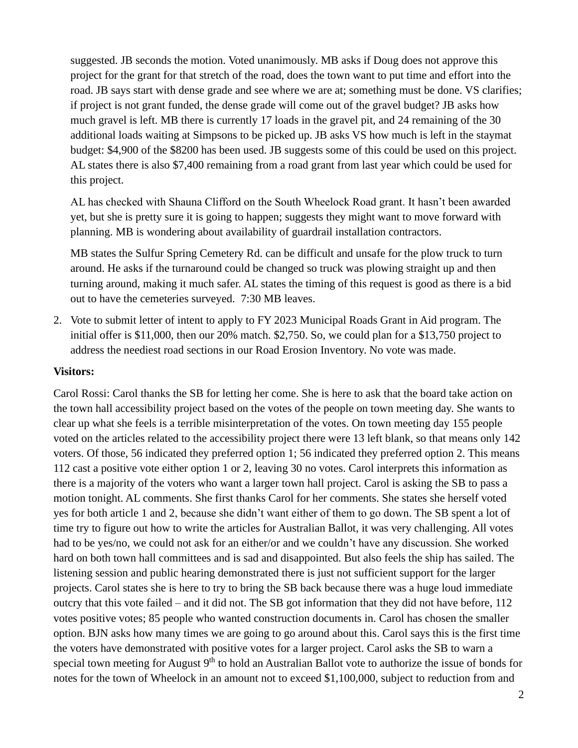suggested. JB seconds the motion. Voted unanimously. MB asks if Doug does not approve this project for the grant for that stretch of the road, does the town want to put time and effort into the road. JB says start with dense grade and see where we are at; something must be done. VS clarifies; if project is not grant funded, the dense grade will come out of the gravel budget? JB asks how much gravel is left. MB there is currently 17 loads in the gravel pit, and 24 remaining of the 30 additional loads waiting at Simpsons to be picked up. JB asks VS how much is left in the staymat budget: \$4,900 of the \$8200 has been used. JB suggests some of this could be used on this project. AL states there is also \$7,400 remaining from a road grant from last year which could be used for this project.

AL has checked with Shauna Clifford on the South Wheelock Road grant. It hasn't been awarded yet, but she is pretty sure it is going to happen; suggests they might want to move forward with planning. MB is wondering about availability of guardrail installation contractors.

MB states the Sulfur Spring Cemetery Rd. can be difficult and unsafe for the plow truck to turn around. He asks if the turnaround could be changed so truck was plowing straight up and then turning around, making it much safer. AL states the timing of this request is good as there is a bid out to have the cemeteries surveyed. 7:30 MB leaves.

2. Vote to submit letter of intent to apply to FY 2023 Municipal Roads Grant in Aid program. The initial offer is \$11,000, then our 20% match. \$2,750. So, we could plan for a \$13,750 project to address the neediest road sections in our Road Erosion Inventory. No vote was made.

#### **Visitors:**

Carol Rossi: Carol thanks the SB for letting her come. She is here to ask that the board take action on the town hall accessibility project based on the votes of the people on town meeting day. She wants to clear up what she feels is a terrible misinterpretation of the votes. On town meeting day 155 people voted on the articles related to the accessibility project there were 13 left blank, so that means only 142 voters. Of those, 56 indicated they preferred option 1; 56 indicated they preferred option 2. This means 112 cast a positive vote either option 1 or 2, leaving 30 no votes. Carol interprets this information as there is a majority of the voters who want a larger town hall project. Carol is asking the SB to pass a motion tonight. AL comments. She first thanks Carol for her comments. She states she herself voted yes for both article 1 and 2, because she didn't want either of them to go down. The SB spent a lot of time try to figure out how to write the articles for Australian Ballot, it was very challenging. All votes had to be yes/no, we could not ask for an either/or and we couldn't have any discussion. She worked hard on both town hall committees and is sad and disappointed. But also feels the ship has sailed. The listening session and public hearing demonstrated there is just not sufficient support for the larger projects. Carol states she is here to try to bring the SB back because there was a huge loud immediate outcry that this vote failed – and it did not. The SB got information that they did not have before, 112 votes positive votes; 85 people who wanted construction documents in. Carol has chosen the smaller option. BJN asks how many times we are going to go around about this. Carol says this is the first time the voters have demonstrated with positive votes for a larger project. Carol asks the SB to warn a special town meeting for August  $9<sup>th</sup>$  to hold an Australian Ballot vote to authorize the issue of bonds for notes for the town of Wheelock in an amount not to exceed \$1,100,000, subject to reduction from and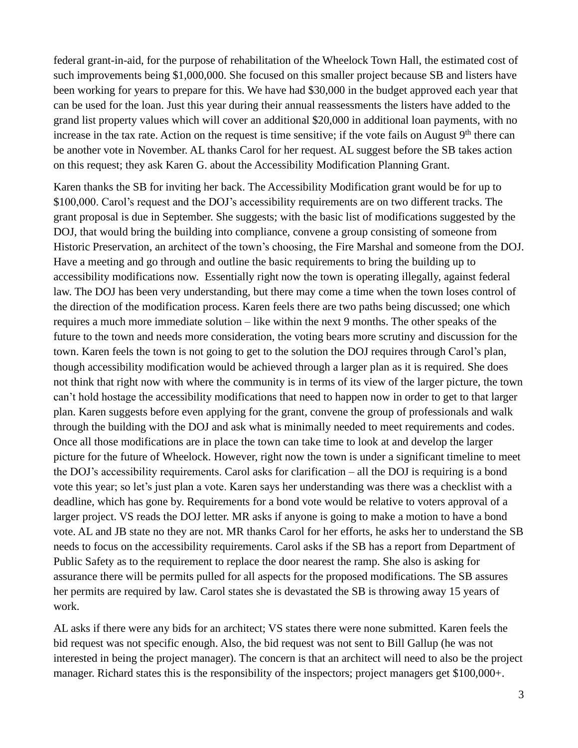federal grant-in-aid, for the purpose of rehabilitation of the Wheelock Town Hall, the estimated cost of such improvements being \$1,000,000. She focused on this smaller project because SB and listers have been working for years to prepare for this. We have had \$30,000 in the budget approved each year that can be used for the loan. Just this year during their annual reassessments the listers have added to the grand list property values which will cover an additional \$20,000 in additional loan payments, with no increase in the tax rate. Action on the request is time sensitive; if the vote fails on August  $9<sup>th</sup>$  there can be another vote in November. AL thanks Carol for her request. AL suggest before the SB takes action on this request; they ask Karen G. about the Accessibility Modification Planning Grant.

Karen thanks the SB for inviting her back. The Accessibility Modification grant would be for up to \$100,000. Carol's request and the DOJ's accessibility requirements are on two different tracks. The grant proposal is due in September. She suggests; with the basic list of modifications suggested by the DOJ, that would bring the building into compliance, convene a group consisting of someone from Historic Preservation, an architect of the town's choosing, the Fire Marshal and someone from the DOJ. Have a meeting and go through and outline the basic requirements to bring the building up to accessibility modifications now. Essentially right now the town is operating illegally, against federal law. The DOJ has been very understanding, but there may come a time when the town loses control of the direction of the modification process. Karen feels there are two paths being discussed; one which requires a much more immediate solution – like within the next 9 months. The other speaks of the future to the town and needs more consideration, the voting bears more scrutiny and discussion for the town. Karen feels the town is not going to get to the solution the DOJ requires through Carol's plan, though accessibility modification would be achieved through a larger plan as it is required. She does not think that right now with where the community is in terms of its view of the larger picture, the town can't hold hostage the accessibility modifications that need to happen now in order to get to that larger plan. Karen suggests before even applying for the grant, convene the group of professionals and walk through the building with the DOJ and ask what is minimally needed to meet requirements and codes. Once all those modifications are in place the town can take time to look at and develop the larger picture for the future of Wheelock. However, right now the town is under a significant timeline to meet the DOJ's accessibility requirements. Carol asks for clarification – all the DOJ is requiring is a bond vote this year; so let's just plan a vote. Karen says her understanding was there was a checklist with a deadline, which has gone by. Requirements for a bond vote would be relative to voters approval of a larger project. VS reads the DOJ letter. MR asks if anyone is going to make a motion to have a bond vote. AL and JB state no they are not. MR thanks Carol for her efforts, he asks her to understand the SB needs to focus on the accessibility requirements. Carol asks if the SB has a report from Department of Public Safety as to the requirement to replace the door nearest the ramp. She also is asking for assurance there will be permits pulled for all aspects for the proposed modifications. The SB assures her permits are required by law. Carol states she is devastated the SB is throwing away 15 years of work.

AL asks if there were any bids for an architect; VS states there were none submitted. Karen feels the bid request was not specific enough. Also, the bid request was not sent to Bill Gallup (he was not interested in being the project manager). The concern is that an architect will need to also be the project manager. Richard states this is the responsibility of the inspectors; project managers get \$100,000+.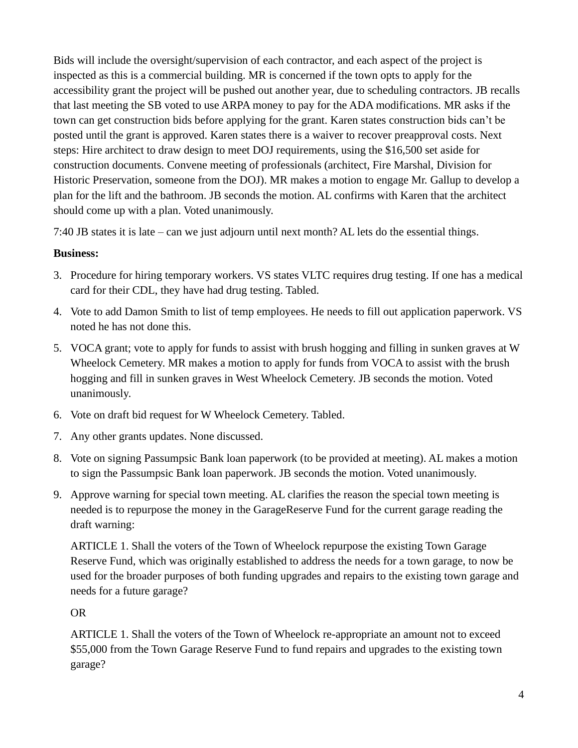Bids will include the oversight/supervision of each contractor, and each aspect of the project is inspected as this is a commercial building. MR is concerned if the town opts to apply for the accessibility grant the project will be pushed out another year, due to scheduling contractors. JB recalls that last meeting the SB voted to use ARPA money to pay for the ADA modifications. MR asks if the town can get construction bids before applying for the grant. Karen states construction bids can't be posted until the grant is approved. Karen states there is a waiver to recover preapproval costs. Next steps: Hire architect to draw design to meet DOJ requirements, using the \$16,500 set aside for construction documents. Convene meeting of professionals (architect, Fire Marshal, Division for Historic Preservation, someone from the DOJ). MR makes a motion to engage Mr. Gallup to develop a plan for the lift and the bathroom. JB seconds the motion. AL confirms with Karen that the architect should come up with a plan. Voted unanimously.

7:40 JB states it is late – can we just adjourn until next month? AL lets do the essential things.

### **Business:**

- 3. Procedure for hiring temporary workers. VS states VLTC requires drug testing. If one has a medical card for their CDL, they have had drug testing. Tabled.
- 4. Vote to add Damon Smith to list of temp employees. He needs to fill out application paperwork. VS noted he has not done this.
- 5. VOCA grant; vote to apply for funds to assist with brush hogging and filling in sunken graves at W Wheelock Cemetery. MR makes a motion to apply for funds from VOCA to assist with the brush hogging and fill in sunken graves in West Wheelock Cemetery. JB seconds the motion. Voted unanimously.
- 6. Vote on draft bid request for W Wheelock Cemetery. Tabled.
- 7. Any other grants updates. None discussed.
- 8. Vote on signing Passumpsic Bank loan paperwork (to be provided at meeting). AL makes a motion to sign the Passumpsic Bank loan paperwork. JB seconds the motion. Voted unanimously.
- 9. Approve warning for special town meeting. AL clarifies the reason the special town meeting is needed is to repurpose the money in the GarageReserve Fund for the current garage reading the draft warning:

ARTICLE 1. Shall the voters of the Town of Wheelock repurpose the existing Town Garage Reserve Fund, which was originally established to address the needs for a town garage, to now be used for the broader purposes of both funding upgrades and repairs to the existing town garage and needs for a future garage?

OR

ARTICLE 1. Shall the voters of the Town of Wheelock re-appropriate an amount not to exceed \$55,000 from the Town Garage Reserve Fund to fund repairs and upgrades to the existing town garage?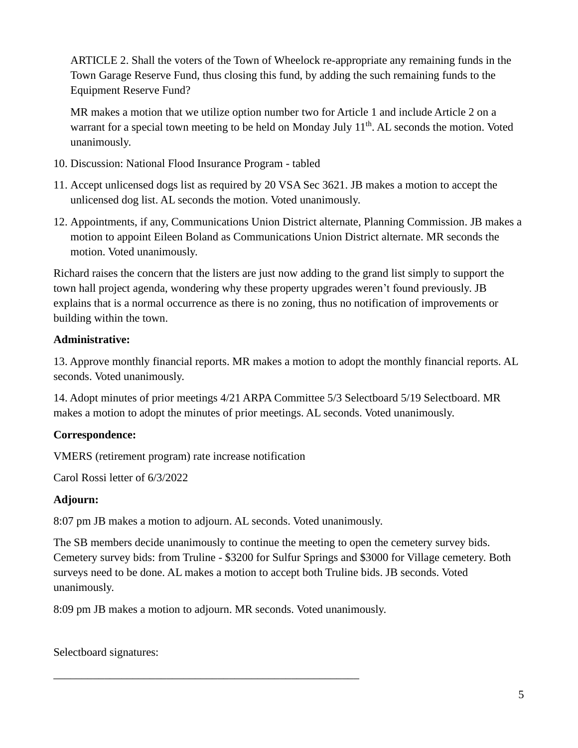ARTICLE 2. Shall the voters of the Town of Wheelock re-appropriate any remaining funds in the Town Garage Reserve Fund, thus closing this fund, by adding the such remaining funds to the Equipment Reserve Fund?

MR makes a motion that we utilize option number two for Article 1 and include Article 2 on a warrant for a special town meeting to be held on Monday July 11<sup>th</sup>. AL seconds the motion. Voted unanimously.

- 10. Discussion: National Flood Insurance Program tabled
- 11. Accept unlicensed dogs list as required by 20 VSA Sec 3621. JB makes a motion to accept the unlicensed dog list. AL seconds the motion. Voted unanimously.
- 12. Appointments, if any, Communications Union District alternate, Planning Commission. JB makes a motion to appoint Eileen Boland as Communications Union District alternate. MR seconds the motion. Voted unanimously.

Richard raises the concern that the listers are just now adding to the grand list simply to support the town hall project agenda, wondering why these property upgrades weren't found previously. JB explains that is a normal occurrence as there is no zoning, thus no notification of improvements or building within the town.

## **Administrative:**

13. Approve monthly financial reports. MR makes a motion to adopt the monthly financial reports. AL seconds. Voted unanimously.

14. Adopt minutes of prior meetings 4/21 ARPA Committee 5/3 Selectboard 5/19 Selectboard. MR makes a motion to adopt the minutes of prior meetings. AL seconds. Voted unanimously.

# **Correspondence:**

VMERS (retirement program) rate increase notification

Carol Rossi letter of 6/3/2022

## **Adjourn:**

8:07 pm JB makes a motion to adjourn. AL seconds. Voted unanimously.

The SB members decide unanimously to continue the meeting to open the cemetery survey bids. Cemetery survey bids: from Truline - \$3200 for Sulfur Springs and \$3000 for Village cemetery. Both surveys need to be done. AL makes a motion to accept both Truline bids. JB seconds. Voted unanimously.

8:09 pm JB makes a motion to adjourn. MR seconds. Voted unanimously.

\_\_\_\_\_\_\_\_\_\_\_\_\_\_\_\_\_\_\_\_\_\_\_\_\_\_\_\_\_\_\_\_\_\_\_\_\_\_\_\_\_\_\_\_\_\_\_\_\_\_\_\_\_\_

Selectboard signatures: